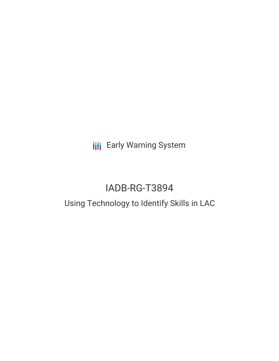**III** Early Warning System

# IADB-RG-T3894

## Using Technology to Identify Skills in LAC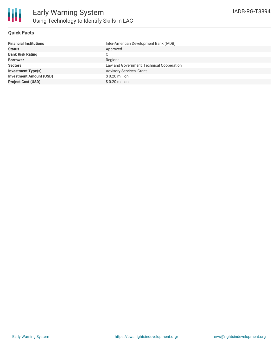

### **Quick Facts**

| <b>Financial Institutions</b>  | Inter-American Development Bank (IADB)    |
|--------------------------------|-------------------------------------------|
| <b>Status</b>                  | Approved                                  |
| <b>Bank Risk Rating</b>        | C                                         |
| <b>Borrower</b>                | Regional                                  |
| <b>Sectors</b>                 | Law and Government, Technical Cooperation |
| <b>Investment Type(s)</b>      | Advisory Services, Grant                  |
| <b>Investment Amount (USD)</b> | $$0.20$ million                           |
| <b>Project Cost (USD)</b>      | \$0.20 million                            |
|                                |                                           |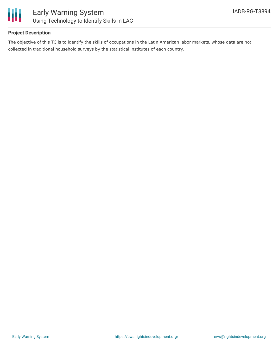

### **Project Description**

The objective of this TC is to identify the skills of occupations in the Latin American labor markets, whose data are not collected in traditional household surveys by the statistical institutes of each country.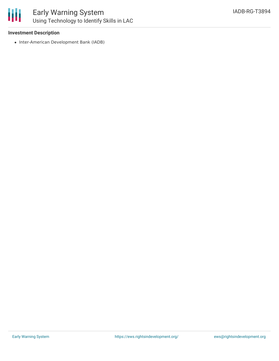

### Early Warning System Using Technology to Identify Skills in LAC

### **Investment Description**

• Inter-American Development Bank (IADB)